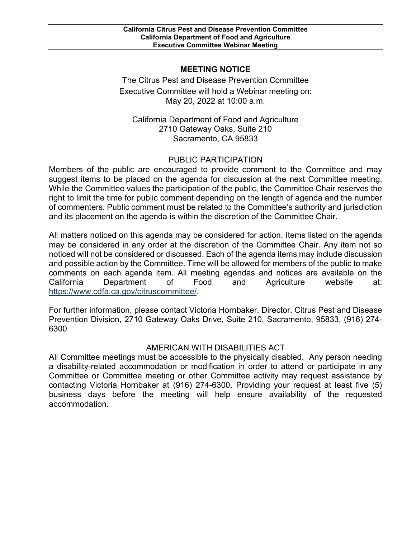## **MEETING NOTICE**

 May 20, 2022 at 10:00 a.m. The Citrus Pest and Disease Prevention Committee Executive Committee will hold a Webinar meeting on:

California Department of Food and Agriculture 2710 Gateway Oaks, Suite 210 Sacramento, CA 95833

## PUBLIC PARTICIPATION

 Members of the public are encouraged to provide comment to the Committee and may of commenters. Public comment must be related to the Committee's authority and jurisdiction suggest items to be placed on the agenda for discussion at the next Committee meeting. While the Committee values the participation of the public, the Committee Chair reserves the right to limit the time for public comment depending on the length of agenda and the number and its placement on the agenda is within the discretion of the Committee Chair.

 All matters noticed on this agenda may be considered for action. Items listed on the agenda may be considered in any order at the discretion of the Committee Chair. Any item not so noticed will not be considered or discussed. Each of the agenda items may include discussion and possible action by the Committee. Time will be allowed for members of the public to make comments on each agenda item. All meeting agendas and notices are available on the California Department of Food and Agriculture website at: [https://www.cdfa.ca.gov/citruscommittee/.](https://www.cdfa.ca.gov/citruscommittee/)

 Prevention Division, 2710 Gateway Oaks Drive, Suite 210, Sacramento, 95833, (916) 274- For further information, please contact Victoria Hornbaker, Director, Citrus Pest and Disease 6300

## AMERICAN WITH DISABILITIES ACT

 Committee or Committee meeting or other Committee activity may request assistance by contacting Victoria Hornbaker at (916) 274-6300. Providing your request at least five (5) All Committee meetings must be accessible to the physically disabled. Any person needing a disability-related accommodation or modification in order to attend or participate in any business days before the meeting will help ensure availability of the requested accommodation.